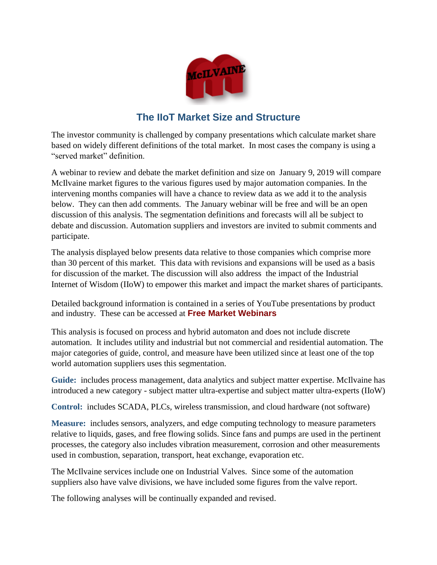

## **The IIoT Market Size and Structure**

The investor community is challenged by company presentations which calculate market share based on widely different definitions of the total market. In most cases the company is using a "served market" definition.

A webinar to review and debate the market definition and size on January 9, 2019 will compare McIlvaine market figures to the various figures used by major automation companies. In the intervening months companies will have a chance to review data as we add it to the analysis below. They can then add comments. The January webinar will be free and will be an open discussion of this analysis. The segmentation definitions and forecasts will all be subject to debate and discussion. Automation suppliers and investors are invited to submit comments and participate.

The analysis displayed below presents data relative to those companies which comprise more than 30 percent of this market. This data with revisions and expansions will be used as a basis for discussion of the market. The discussion will also address the impact of the Industrial Internet of Wisdom (IIoW) to empower this market and impact the market shares of participants.

Detailed background information is contained in a series of YouTube presentations by product and industry. These can be accessed at **[Free Market Webinars](http://home.mcilvainecompany.com/index.php/component/content/article/28-energy/675-hot-topic-hour-info#weekly)**

This analysis is focused on process and hybrid automaton and does not include discrete automation. It includes utility and industrial but not commercial and residential automation. The major categories of guide, control, and measure have been utilized since at least one of the top world automation suppliers uses this segmentation.

**Guide:** includes process management, data analytics and subject matter expertise. McIlvaine has introduced a new category - subject matter ultra-expertise and subject matter ultra-experts (IIoW)

**Control:** includes SCADA, PLCs, wireless transmission, and cloud hardware (not software)

**Measure:** includes sensors, analyzers, and edge computing technology to measure parameters relative to liquids, gases, and free flowing solids. Since fans and pumps are used in the pertinent processes, the category also includes vibration measurement, corrosion and other measurements used in combustion, separation, transport, heat exchange, evaporation etc.

The McIlvaine services include one on Industrial Valves. Since some of the automation suppliers also have valve divisions, we have included some figures from the valve report.

The following analyses will be continually expanded and revised.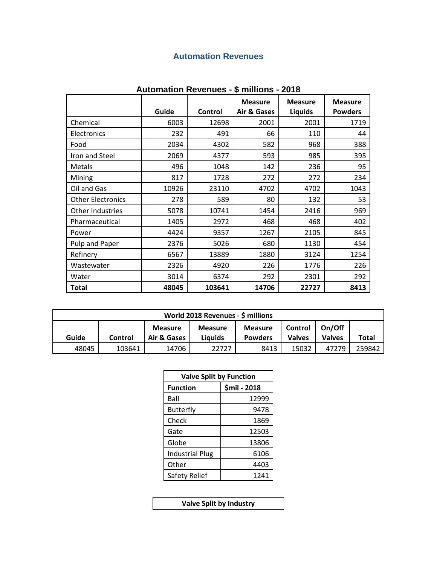### **Automation Revenues**

|                          | Guide | Control | <b>Measure</b><br>Air & Gases | <b>Measure</b><br><b>Liquids</b> | <b>Measure</b><br><b>Powders</b> |
|--------------------------|-------|---------|-------------------------------|----------------------------------|----------------------------------|
| Chemical                 | 6003  | 12698   | 2001                          | 2001                             | 1719                             |
| Electronics              | 232   | 491     | 66                            | 110                              | 44                               |
| Food                     | 2034  | 4302    | 582                           | 968                              | 388                              |
| Iron and Steel           | 2069  | 4377    | 593                           | 985                              | 395                              |
| Metals                   | 496   | 1048    | 142                           | 236                              | 95                               |
| Mining                   | 817   | 1728    | 272                           | 272                              | 234                              |
| Oil and Gas              | 10926 | 23110   | 4702                          | 4702                             | 1043                             |
| <b>Other Electronics</b> | 278   | 589     | 80                            | 132                              | 53                               |
| <b>Other Industries</b>  | 5078  | 10741   | 1454                          | 2416                             | 969                              |
| Pharmaceutical           | 1405  | 2972    | 468                           | 468                              | 402                              |
| Power                    | 4424  | 9357    | 1267                          | 2105                             | 845                              |
| Pulp and Paper           | 2376  | 5026    | 680                           | 1130                             | 454                              |
| Refinery                 | 6567  | 13889   | 1880                          | 3124                             | 1254                             |
| Wastewater               | 2326  | 4920    | 226                           | 1776                             | 226                              |
| Water                    | 3014  | 6374    | 292                           | 2301                             | 292                              |
| Total                    | 48045 | 103641  | 14706                         | 22727                            | 8413                             |

#### **Automation Revenues - \$ millions - 2018**

| World 2018 Revenues - \$ millions                                                                                                                                  |        |       |       |      |       |       |        |  |
|--------------------------------------------------------------------------------------------------------------------------------------------------------------------|--------|-------|-------|------|-------|-------|--------|--|
| On/Off<br><b>Measure</b><br>Control<br><b>Measure</b><br><b>Measure</b><br>Guide<br>Air & Gases<br>Valves<br>Liauids<br><b>Valves</b><br><b>Powders</b><br>Control |        |       |       |      |       |       | Total  |  |
| 48045                                                                                                                                                              | 103641 | 14706 | 22727 | 8413 | 15032 | 47279 | 259842 |  |

| <b>Valve Split by Function</b> |              |  |  |  |  |
|--------------------------------|--------------|--|--|--|--|
| <b>Function</b>                | \$mil - 2018 |  |  |  |  |
| Ball                           | 12999        |  |  |  |  |
| <b>Butterfly</b>               | 9478         |  |  |  |  |
| Check                          | 1869         |  |  |  |  |
| Gate                           | 12503        |  |  |  |  |
| Globe                          | 13806        |  |  |  |  |
| <b>Industrial Plug</b>         | 6106         |  |  |  |  |
| Other                          | 4403         |  |  |  |  |
| Safety Relief                  | 1241         |  |  |  |  |

**Valve Split by Industry**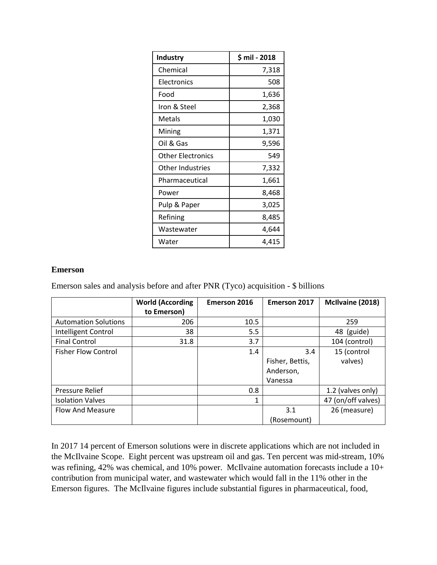| Industry                 | $$$ mil - 2018 |
|--------------------------|----------------|
| Chemical                 | 7,318          |
| Electronics              | 508            |
| Food                     | 1,636          |
| Iron & Steel             | 2,368          |
| Metals                   | 1,030          |
| Mining                   | 1,371          |
| Oil & Gas                | 9,596          |
| <b>Other Electronics</b> | 549            |
| Other Industries         | 7,332          |
| Pharmaceutical           | 1,661          |
| Power                    | 8,468          |
| Pulp & Paper             | 3,025          |
| Refining                 | 8,485          |
| Wastewater               | 4,644          |
| Water                    | 4,415          |

#### **Emerson**

Emerson sales and analysis before and after PNR (Tyco) acquisition - \$ billions

|                             | <b>World (According</b> | <b>Emerson 2016</b> | <b>Emerson 2017</b> | McIlvaine (2018)   |
|-----------------------------|-------------------------|---------------------|---------------------|--------------------|
|                             | to Emerson)             |                     |                     |                    |
| <b>Automation Solutions</b> | 206                     | 10.5                |                     | 259                |
| Intelligent Control         | 38                      | 5.5                 |                     | 48 (guide)         |
| <b>Final Control</b>        | 31.8                    | 3.7                 |                     | 104 (control)      |
| <b>Fisher Flow Control</b>  |                         | 1.4                 | 3.4                 | 15 (control        |
|                             |                         |                     | Fisher, Bettis,     | valves)            |
|                             |                         |                     | Anderson,           |                    |
|                             |                         |                     | Vanessa             |                    |
| <b>Pressure Relief</b>      |                         | 0.8                 |                     | 1.2 (valves only)  |
| <b>Isolation Valves</b>     |                         | 1                   |                     | 47 (on/off valves) |
| Flow And Measure            |                         |                     | 3.1                 | 26 (measure)       |
|                             |                         |                     | (Rosemount)         |                    |

In 2017 14 percent of Emerson solutions were in discrete applications which are not included in the McIlvaine Scope. Eight percent was upstream oil and gas. Ten percent was mid-stream, 10% was refining, 42% was chemical, and 10% power. McIlvaine automation forecasts include a 10+ contribution from municipal water, and wastewater which would fall in the 11% other in the Emerson figures. The McIlvaine figures include substantial figures in pharmaceutical, food,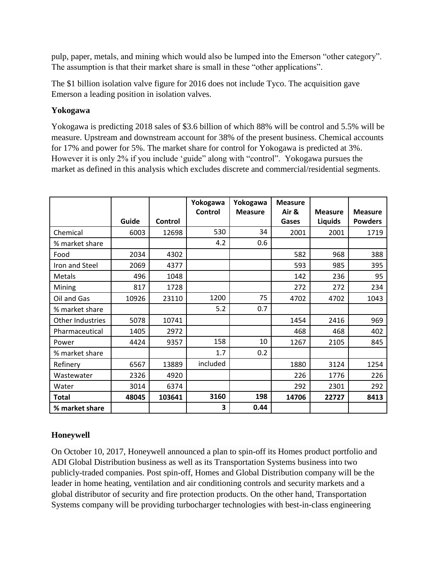pulp, paper, metals, and mining which would also be lumped into the Emerson "other category". The assumption is that their market share is small in these "other applications".

The \$1 billion isolation valve figure for 2016 does not include Tyco. The acquisition gave Emerson a leading position in isolation valves.

#### **Yokogawa**

Yokogawa is predicting 2018 sales of \$3.6 billion of which 88% will be control and 5.5% will be measure. Upstream and downstream account for 38% of the present business. Chemical accounts for 17% and power for 5%. The market share for control for Yokogawa is predicted at 3%. However it is only 2% if you include 'guide" along with "control". Yokogawa pursues the market as defined in this analysis which excludes discrete and commercial/residential segments.

|                  |       |         | Yokogawa | Yokogawa       | <b>Measure</b> |                |                |
|------------------|-------|---------|----------|----------------|----------------|----------------|----------------|
|                  |       |         | Control  | <b>Measure</b> | Air &          | <b>Measure</b> | <b>Measure</b> |
|                  | Guide | Control |          |                | Gases          | <b>Liquids</b> | <b>Powders</b> |
| Chemical         | 6003  | 12698   | 530      | 34             | 2001           | 2001           | 1719           |
| % market share   |       |         | 4.2      | 0.6            |                |                |                |
| Food             | 2034  | 4302    |          |                | 582            | 968            | 388            |
| Iron and Steel   | 2069  | 4377    |          |                | 593            | 985            | 395            |
| <b>Metals</b>    | 496   | 1048    |          |                | 142            | 236            | 95             |
| Mining           | 817   | 1728    |          |                | 272            | 272            | 234            |
| Oil and Gas      | 10926 | 23110   | 1200     | 75             | 4702           | 4702           | 1043           |
| % market share   |       |         | 5.2      | 0.7            |                |                |                |
| Other Industries | 5078  | 10741   |          |                | 1454           | 2416           | 969            |
| Pharmaceutical   | 1405  | 2972    |          |                | 468            | 468            | 402            |
| Power            | 4424  | 9357    | 158      | 10             | 1267           | 2105           | 845            |
| % market share   |       |         | 1.7      | 0.2            |                |                |                |
| Refinery         | 6567  | 13889   | included |                | 1880           | 3124           | 1254           |
| Wastewater       | 2326  | 4920    |          |                | 226            | 1776           | 226            |
| Water            | 3014  | 6374    |          |                | 292            | 2301           | 292            |
| Total            | 48045 | 103641  | 3160     | 198            | 14706          | 22727          | 8413           |
| % market share   |       |         | 3        | 0.44           |                |                |                |

#### **Honeywell**

On October 10, 2017, Honeywell announced a plan to spin-off its Homes product portfolio and ADI Global Distribution business as well as its Transportation Systems business into two publicly-traded companies. Post spin-off, Homes and Global Distribution company will be the leader in home heating, ventilation and air conditioning controls and security markets and a global distributor of security and fire protection products. On the other hand, Transportation Systems company will be providing turbocharger technologies with best-in-class engineering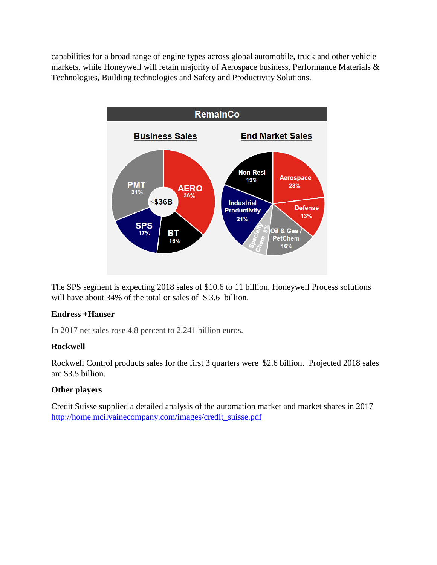capabilities for a broad range of engine types across global automobile, truck and other vehicle markets, while Honeywell will retain majority of Aerospace business, Performance Materials & Technologies, Building technologies and Safety and Productivity Solutions.



The SPS segment is expecting 2018 sales of \$10.6 to 11 billion. Honeywell Process solutions will have about 34% of the total or sales of \$3.6 billion.

#### **Endress +Hauser**

In 2017 net sales rose 4.8 percent to 2.241 billion euros.

#### **Rockwell**

Rockwell Control products sales for the first 3 quarters were \$2.6 billion. Projected 2018 sales are \$3.5 billion.

#### **Other players**

Credit Suisse supplied a detailed analysis of the automation market and market shares in 2017 [http://home.mcilvainecompany.com/images/credit\\_suisse.pdf](http://home.mcilvainecompany.com/images/credit_suisse.pdf)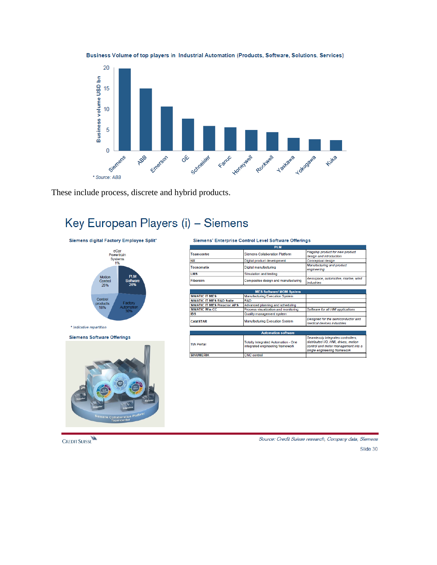

Business Volume of top players in Industrial Automation (Products, Software, Solutions, Services)

These include process, discrete and hybrid products.

# Key European Players (i) - Siemens

Siemens digital Factory Employee Split\*



\* Indicative repartition

**Siemens Software Offerings** 



Siemens' Enterprise Control Level Software Offerings

| <b>PIM</b>                                          |                             |                                                             |  |  |  |  |
|-----------------------------------------------------|-----------------------------|-------------------------------------------------------------|--|--|--|--|
| Siemens Collaboration Platform<br><b>Teamcentre</b> |                             | Flagship product for new product<br>design and introduction |  |  |  |  |
| <b>NX</b>                                           | Digital product development | Conceptual design                                           |  |  |  |  |
| Tecnomatix                                          | Digital manufacturing       | Manufacturing and product<br>engineering                    |  |  |  |  |
| <b>LMS</b>                                          | Simulation and testing      |                                                             |  |  |  |  |
| Composites design and manufacturing<br>Fibersim     |                             | Aerospace, automotive, marine, wind<br><i>industries</i>    |  |  |  |  |

| <b>MES Software/ MOM System</b>     |                                       |                                                                  |  |  |  |  |
|-------------------------------------|---------------------------------------|------------------------------------------------------------------|--|--|--|--|
| <b>SIMATIC IT MES</b>               | <b>Manufacturing Execution System</b> |                                                                  |  |  |  |  |
| <b>SIMATIC IT MES R&amp;D Suite</b> | R&D                                   |                                                                  |  |  |  |  |
| <b>SIMATIC IT MES Preactor APS</b>  | Advanced planning and scheduling      |                                                                  |  |  |  |  |
| <b>SIMATIC Win CC</b>               | Process visualization and monitoring  | Software for all HMI applications                                |  |  |  |  |
| <b>IBS</b>                          | Quality management system             |                                                                  |  |  |  |  |
| <b>CAMSTAR</b>                      | <b>Manufacturing Execution System</b> | Designed for the semiconductor and<br>medical devices industries |  |  |  |  |

| <b>Automation software</b> |                                                                         |                                                                                                                                                   |  |  |  |  |  |
|----------------------------|-------------------------------------------------------------------------|---------------------------------------------------------------------------------------------------------------------------------------------------|--|--|--|--|--|
| <b>TIA Portal</b>          | Totally Integrated Automation - One<br>integrated engineering framework | Seamlessly integrates controllers,<br>distributed I/O, HMI, drives, motion<br>control and motor management into a<br>single engineering framework |  |  |  |  |  |
| <b>SINUMFRIK</b>           | <b>CNC</b> control                                                      |                                                                                                                                                   |  |  |  |  |  |
|                            |                                                                         |                                                                                                                                                   |  |  |  |  |  |

**CREDIT SUISSE** 

Source: Credit Suisse research, Company data, Siemens

Slide 30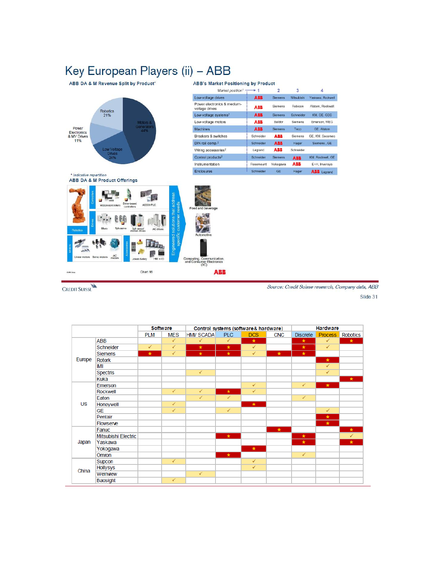## Key European Players (ii) - ABB **ABB's Market Positioning by Product**

ABB DA & M Revenue Split by Product\*



| Market position <sup>1</sup>                  |            | $\overline{2}$ | 3          |                   |
|-----------------------------------------------|------------|----------------|------------|-------------------|
| Low-voltage drives                            | <b>ASS</b> | <b>Siemens</b> | Mitsubishi | Yaskawa, Rockwell |
| Power electronics & medium-<br>voltage drives | ABB        | Siemens        | Robicon    | Alstom, Rockwell  |
| Low-voltage systems <sup>2</sup>              | ABB        | <b>Siemens</b> | Schneider  | KM. GE. GEC.      |
| Low-voltage motors                            | ABB        | Baldor         | Siemens    | Emerson, WEG      |
| <b>Machines</b>                               | <b>ABB</b> | <b>Siemens</b> | Teco       | GE. Alstom        |
| Breakers & switches                           | Schneider  | <b>ABB</b>     | Siemens    | GE. KM. Socomec   |
| DIN rail comp. <sup>2</sup>                   | Schneider  | <b>ABB</b>     | Hager      | Siemens, GE       |
| Wiring accessories <sup>2</sup>               | Legrand    | ABB            | Schneider  |                   |
| Control products <sup>2</sup>                 | Schneider  | <b>Siemens</b> | <b>ABB</b> | KM. Rockwell, GE  |
| Instrumentation                               | Rosemount  | Yokogawa       | ABB        | E+H, Invensys     |
| Enclosures                                    | Schneider  | <b>GE</b>      | Hager      | ABB Legrand       |

\* Indicative repartition<br>ABB DA & M Product Offerings

CREDIT SUISSE



Source: Credit Suisse research, Company data, ABB

Slide 31

|           |                     | <b>Software</b> |              |                   | Control systems (software& hardware) |              |            | <b>Hardware</b> |                |                 |
|-----------|---------------------|-----------------|--------------|-------------------|--------------------------------------|--------------|------------|-----------------|----------------|-----------------|
|           |                     | <b>PLM</b>      | <b>MES</b>   | <b>HMI/ SCADA</b> | <b>PLC</b>                           | <b>DCS</b>   | <b>CNC</b> | <b>Discrete</b> | <b>Process</b> | <b>Robotics</b> |
|           | <b>ABB</b>          |                 | $\checkmark$ | ✓                 | ✓                                    | ★            |            | $\star$         | $\checkmark$   | $\star$         |
|           | Schneider           | $\checkmark$    | $\checkmark$ | $\star$           | $\star$                              | $\checkmark$ |            | $\star$         | $\checkmark$   |                 |
|           | Siemens             | $\star$         | $\checkmark$ | $\star$           | $\star$                              | $\checkmark$ | $\star$    | $\star$         |                |                 |
| Europe    | <b>Rotork</b>       |                 |              |                   |                                      |              |            |                 | $\star$        |                 |
|           | IMI                 |                 |              |                   |                                      |              |            |                 | ✓              |                 |
|           | Spectris            |                 |              | $\checkmark$      |                                      |              |            |                 | ✓              |                 |
|           | Kuka                |                 |              |                   |                                      |              |            |                 |                | $\star$         |
|           | Emerson             |                 |              |                   |                                      | $\checkmark$ |            | $\checkmark$    | $\star$        |                 |
|           | Rockwell            |                 | $\checkmark$ | $\checkmark$      | $\star$                              | ✓            |            |                 |                |                 |
|           | Eaton               |                 |              | $\checkmark$      | $\checkmark$                         |              |            | $\checkmark$    |                |                 |
| <b>US</b> | Honeywell           |                 | $\checkmark$ |                   |                                      | $\star$      |            |                 |                |                 |
|           | <b>GE</b>           |                 | $\checkmark$ |                   | $\checkmark$                         |              |            |                 | ✓              |                 |
|           | Pentair             |                 |              |                   |                                      |              |            |                 | $\star$        |                 |
|           | Flowserve           |                 |              |                   |                                      |              |            |                 | $\star$        |                 |
|           | Fanuc               |                 |              |                   |                                      |              | $\star$    |                 |                | $\star$         |
|           | Mitsubishi Electric |                 |              |                   | $\star$                              |              |            | $\star$         |                | ✓               |
| Japan     | Yaskawa             |                 |              |                   |                                      |              |            | $\star$         |                | $\star$         |
|           | Yokogawa            |                 |              |                   |                                      | $\star$      |            |                 |                |                 |
|           | Omron               |                 |              |                   | $\star$                              |              |            | $\checkmark$    |                |                 |
|           | Supcon              |                 | ✓            |                   |                                      | ✓            |            |                 |                |                 |
| China     | <b>Hollysys</b>     |                 |              |                   |                                      | ✓            |            |                 |                |                 |
|           | Weinview            |                 |              | $\checkmark$      |                                      |              |            |                 |                |                 |
|           | Baosight            |                 | ✓            |                   |                                      |              |            |                 |                |                 |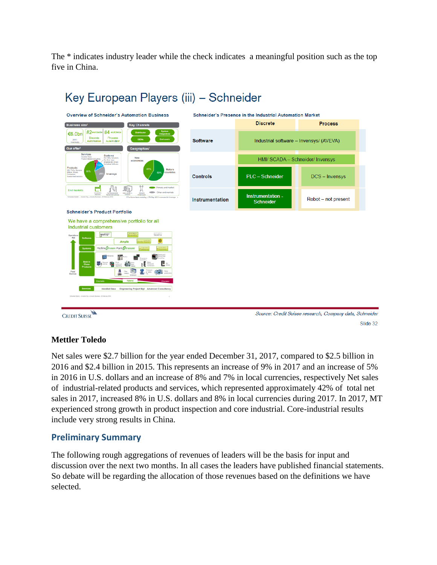The \* indicates industry leader while the check indicates a meaningful position such as the top five in China.



# Key European Players (iii) - Schneider

**Mettler Toledo**

Net sales were \$2.7 billion for the year ended December 31, 2017, compared to \$2.5 billion in 2016 and \$2.4 billion in 2015. This represents an increase of 9% in 2017 and an increase of 5% in 2016 in U.S. dollars and an increase of 8% and 7% in local currencies, respectively Net sales of industrial-related products and services, which represented approximately 42% of total net sales in 2017, increased 8% in U.S. dollars and 8% in local currencies during 2017. In 2017, MT experienced strong growth in product inspection and core industrial. Core-industrial results include very strong results in China.

Slide 32

### **Preliminary Summary**

The following rough aggregations of revenues of leaders will be the basis for input and discussion over the next two months. In all cases the leaders have published financial statements. So debate will be regarding the allocation of those revenues based on the definitions we have selected.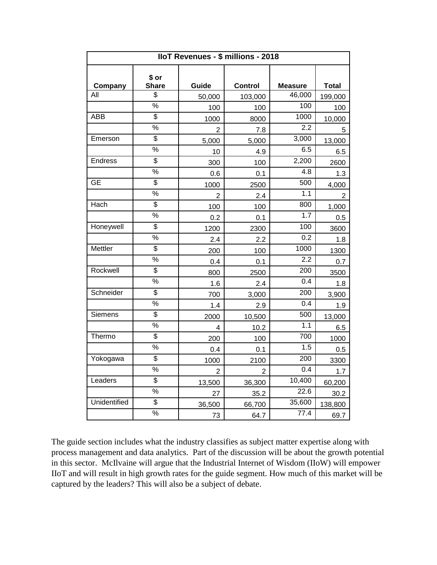|                | IloT Revenues - \$ millions - 2018 |                |                |                  |              |  |  |  |  |  |
|----------------|------------------------------------|----------------|----------------|------------------|--------------|--|--|--|--|--|
| Company        | \$ or<br><b>Share</b>              | Guide          | <b>Control</b> | <b>Measure</b>   | <b>Total</b> |  |  |  |  |  |
| All            | \$                                 | 50,000         | 103,000        | 46,000           | 199,000      |  |  |  |  |  |
|                | $\frac{9}{6}$                      | 100            | 100            | 100              | 100          |  |  |  |  |  |
| <b>ABB</b>     | $\overline{\$}$                    | 1000           | 8000           | 1000             | 10,000       |  |  |  |  |  |
|                | $\frac{9}{6}$                      | $\overline{2}$ | 7.8            | 2.2              | 5            |  |  |  |  |  |
| Emerson        | $\overline{\$}$                    | 5,000          | 5,000          | 3,000            | 13,000       |  |  |  |  |  |
|                | $\%$                               | 10             | 4.9            | 6.5              | 6.5          |  |  |  |  |  |
| <b>Endress</b> | $\overline{\$}$                    | 300            | 100            | 2,200            | 2600         |  |  |  |  |  |
|                | $\%$                               | 0.6            | 0.1            | 4.8              | 1.3          |  |  |  |  |  |
| <b>GE</b>      | \$                                 | 1000           | 2500           | 500              | 4,000        |  |  |  |  |  |
|                | $\frac{1}{2}$                      | $\overline{2}$ | 2.4            | 1.1              | 2            |  |  |  |  |  |
| Hach           | $\overline{\$}$                    | 100            | 100            | 800              | 1,000        |  |  |  |  |  |
|                | $\frac{0}{0}$                      | 0.2            | 0.1            | 1.7              | 0.5          |  |  |  |  |  |
| Honeywell      | \$                                 | 1200           | 2300           | 100              | 3600         |  |  |  |  |  |
|                | $\frac{9}{6}$                      | 2.4            | 2.2            | 0.2              | 1.8          |  |  |  |  |  |
| Mettler        | \$                                 | 200            | 100            | 1000             | 1300         |  |  |  |  |  |
|                | $\frac{0}{0}$                      | 0.4            | 0.1            | 2.2              | 0.7          |  |  |  |  |  |
| Rockwell       | $\overline{\$}$                    | 800            | 2500           | 200              | 3500         |  |  |  |  |  |
|                | $\frac{1}{2}$                      | 1.6            | 2.4            | 0.4              | 1.8          |  |  |  |  |  |
| Schneider      | \$                                 | 700            | 3,000          | 200              | 3,900        |  |  |  |  |  |
|                | $\%$                               | 1.4            | 2.9            | 0.4              | 1.9          |  |  |  |  |  |
| Siemens        | $\overline{\$}$                    | 2000           | 10,500         | 500              | 13,000       |  |  |  |  |  |
|                | $\%$                               | 4              | 10.2           | 1.1              | 6.5          |  |  |  |  |  |
| Thermo         | $\overline{\$}$                    | 200            | 100            | 700              | 1000         |  |  |  |  |  |
|                | $\%$                               | 0.4            | 0.1            | 1.5              | 0.5          |  |  |  |  |  |
| Yokogawa       | \$                                 | 1000           | 2100           | 200              | 3300         |  |  |  |  |  |
|                | $\frac{1}{2}$                      | $\overline{2}$ | 2              | $\overline{0.4}$ | 1.7          |  |  |  |  |  |
| Leaders        | $\overline{\$}$                    | 13,500         | 36,300         | 10,400           | 60,200       |  |  |  |  |  |
|                | $\frac{0}{0}$                      | 27             | 35.2           | 22.6             | 30.2         |  |  |  |  |  |
| Unidentified   | $\overline{\$}$                    | 36,500         | 66,700         | 35,600           | 138,800      |  |  |  |  |  |
|                | $\frac{9}{6}$                      | 73             | 64.7           | 77.4             | 69.7         |  |  |  |  |  |

The guide section includes what the industry classifies as subject matter expertise along with process management and data analytics. Part of the discussion will be about the growth potential in this sector. McIlvaine will argue that the Industrial Internet of Wisdom (IIoW) will empower IIoT and will result in high growth rates for the guide segment. How much of this market will be captured by the leaders? This will also be a subject of debate.